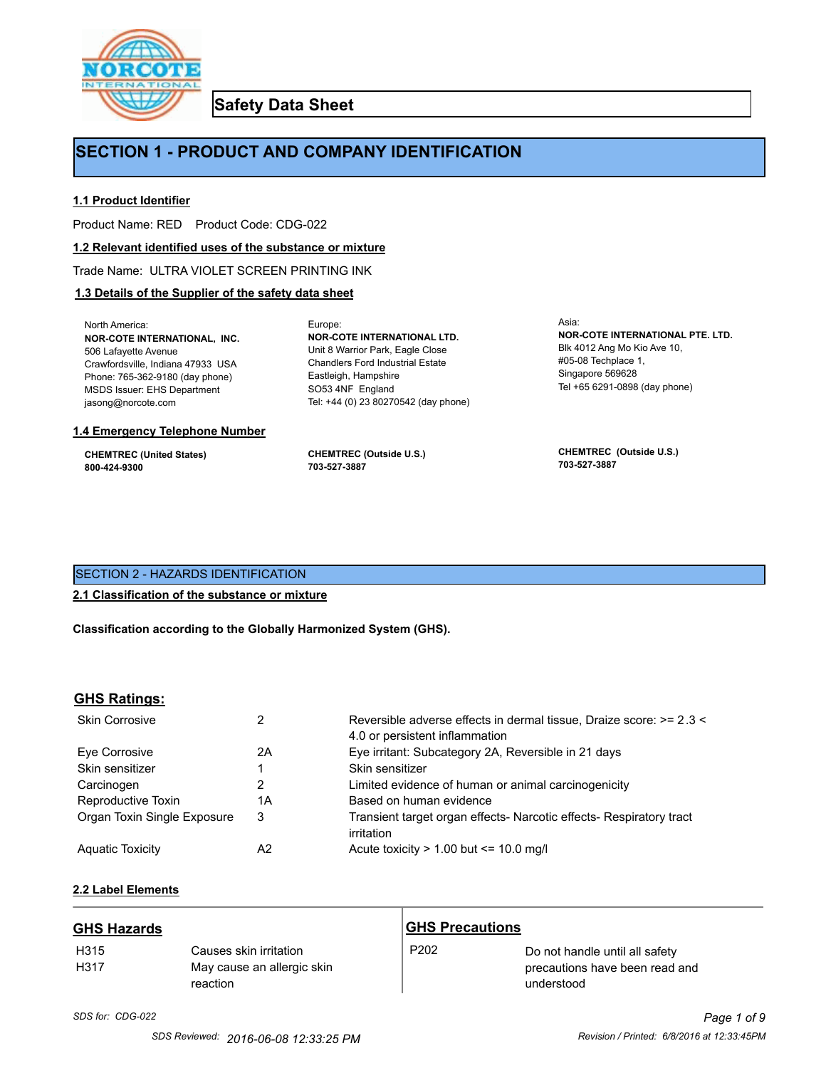

**Safety Data Sheet**

# **SECTION 1 - PRODUCT AND COMPANY IDENTIFICATION**

Europe:

# **1.1 Product Identifier**

Product Name: RED Product Code: CDG-022

#### **1.2 Relevant identified uses of the substance or mixture**

Trade Name: ULTRA VIOLET SCREEN PRINTING INK

# **1.3 Details of the Supplier of the safety data sheet**

North America: **NOR-COTE INTERNATIONAL, INC.** 506 Lafayette Avenue Crawfordsville, Indiana 47933 USA Phone: 765-362-9180 (day phone) MSDS Issuer: EHS Department jasong@norcote.com

#### **1.4 Emergency Telephone Number**

**CHEMTREC (United States) 800-424-9300**

**CHEMTREC (Outside U.S.) 703-527-3887**

Eastleigh, Hampshire SO53 4NF England

**NOR-COTE INTERNATIONAL LTD.** Unit 8 Warrior Park, Eagle Close Chandlers Ford Industrial Estate

Tel: +44 (0) 23 80270542 (day phone)

Asia: **NOR-COTE INTERNATIONAL PTE. LTD.** Blk 4012 Ang Mo Kio Ave 10, #05-08 Techplace 1, Singapore 569628 Tel +65 6291-0898 (day phone)

**CHEMTREC (Outside U.S.) 703-527-3887**

# SECTION 2 - HAZARDS IDENTIFICATION

#### **2.1 Classification of the substance or mixture**

**Classification according to the Globally Harmonized System (GHS).**

#### **GHS Ratings:**

| <b>Skin Corrosive</b>       | 2  | Reversible adverse effects in dermal tissue, Draize score: >= 2.3 <<br>4.0 or persistent inflammation |
|-----------------------------|----|-------------------------------------------------------------------------------------------------------|
| Eve Corrosive               | 2A | Eye irritant: Subcategory 2A, Reversible in 21 days                                                   |
| Skin sensitizer             |    | Skin sensitizer                                                                                       |
| Carcinogen                  |    | Limited evidence of human or animal carcinogenicity                                                   |
| Reproductive Toxin          | 1A | Based on human evidence                                                                               |
| Organ Toxin Single Exposure | 3  | Transient target organ effects- Narcotic effects- Respiratory tract<br>irritation                     |
| <b>Aguatic Toxicity</b>     | A2 | Acute toxicity $> 1.00$ but $\leq 10.0$ mg/l                                                          |

# **2.2 Label Elements**

| <b>GHS Hazards</b> |                                                                  | <b>GHS Precautions</b> |                                                                                |
|--------------------|------------------------------------------------------------------|------------------------|--------------------------------------------------------------------------------|
| H315<br>H317       | Causes skin irritation<br>May cause an allergic skin<br>reaction | P <sub>202</sub>       | Do not handle until all safety<br>precautions have been read and<br>understood |

# *SDS for: CDG-022 Page 1 of 9*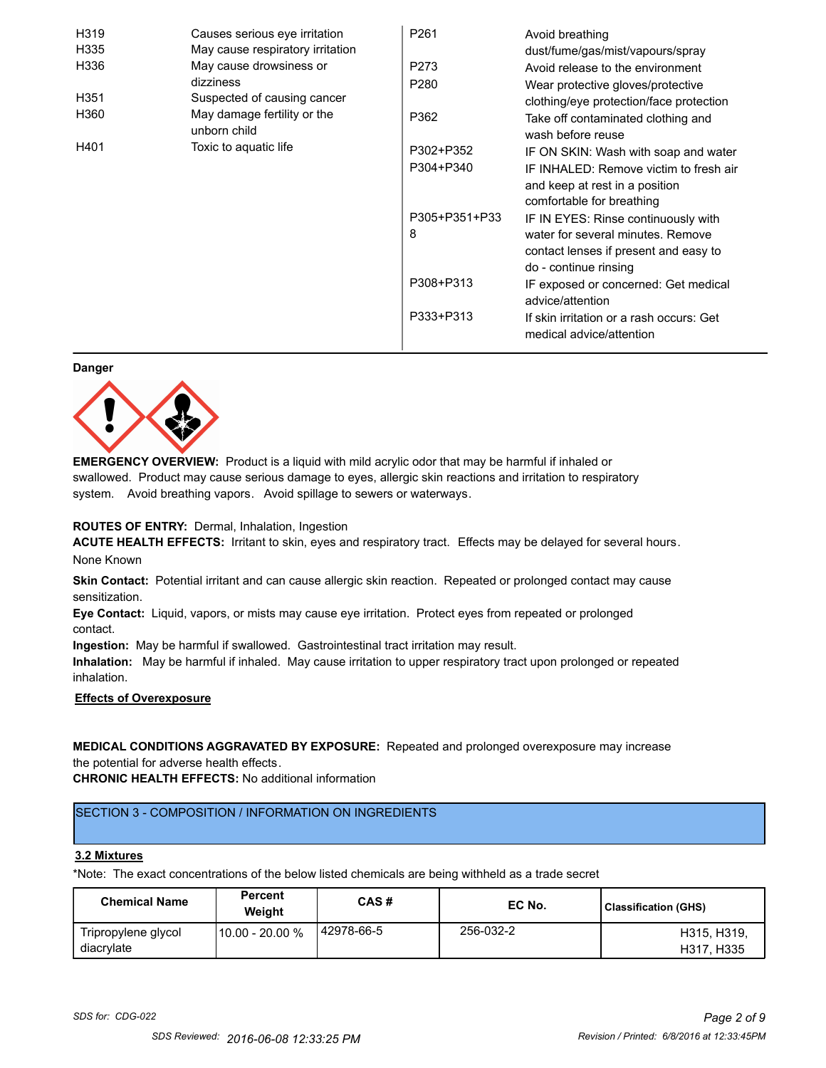| H319 | Causes serious eye irritation               | P <sub>261</sub> | Avoid breathing                                                      |
|------|---------------------------------------------|------------------|----------------------------------------------------------------------|
| H335 | May cause respiratory irritation            |                  | dust/fume/gas/mist/vapours/spray                                     |
| H336 | May cause drowsiness or                     | P273             | Avoid release to the environment                                     |
|      | dizziness                                   | P <sub>280</sub> | Wear protective gloves/protective                                    |
| H351 | Suspected of causing cancer                 |                  | clothing/eye protection/face protection                              |
| H360 | May damage fertility or the<br>unborn child | P362             | Take off contaminated clothing and<br>wash before reuse              |
| H401 | Toxic to aquatic life                       | P302+P352        | IF ON SKIN: Wash with soap and water                                 |
|      |                                             | P304+P340        | IF INHALED: Remove victim to fresh air                               |
|      |                                             |                  | and keep at rest in a position                                       |
|      |                                             |                  | comfortable for breathing                                            |
|      |                                             | P305+P351+P33    | IF IN EYES: Rinse continuously with                                  |
|      |                                             | 8                | water for several minutes. Remove                                    |
|      |                                             |                  | contact lenses if present and easy to                                |
|      |                                             |                  | do - continue rinsing                                                |
|      |                                             | P308+P313        | IF exposed or concerned: Get medical                                 |
|      |                                             |                  | advice/attention                                                     |
|      |                                             | P333+P313        | If skin irritation or a rash occurs: Get<br>medical advice/attention |

#### **Danger**



**EMERGENCY OVERVIEW:** Product is a liquid with mild acrylic odor that may be harmful if inhaled or swallowed. Product may cause serious damage to eyes, allergic skin reactions and irritation to respiratory system. Avoid breathing vapors. Avoid spillage to sewers or waterways.

#### **ROUTES OF ENTRY:** Dermal, Inhalation, Ingestion

**ACUTE HEALTH EFFECTS:** Irritant to skin, eyes and respiratory tract. Effects may be delayed for several hours. None Known

**Skin Contact:** Potential irritant and can cause allergic skin reaction. Repeated or prolonged contact may cause sensitization.

**Eye Contact:** Liquid, vapors, or mists may cause eye irritation. Protect eyes from repeated or prolonged contact.

**Ingestion:** May be harmful if swallowed. Gastrointestinal tract irritation may result.

**Inhalation:** May be harmful if inhaled. May cause irritation to upper respiratory tract upon prolonged or repeated inhalation.

# **Effects of Overexposure**

# **MEDICAL CONDITIONS AGGRAVATED BY EXPOSURE:** Repeated and prolonged overexposure may increase the potential for adverse health effects.

**CHRONIC HEALTH EFFECTS:** No additional information

# SECTION 3 - COMPOSITION / INFORMATION ON INGREDIENTS

#### **3.2 Mixtures**

\*Note: The exact concentrations of the below listed chemicals are being withheld as a trade secret

| <b>Chemical Name</b>              | <b>Percent</b><br>Weiaht | CAS#        | EC No.    | Classification (GHS)      |
|-----------------------------------|--------------------------|-------------|-----------|---------------------------|
| Tripropylene glycol<br>diacrylate | 10.00 - 20.00 %          | 142978-66-5 | 256-032-2 | H315, H319,<br>H317, H335 |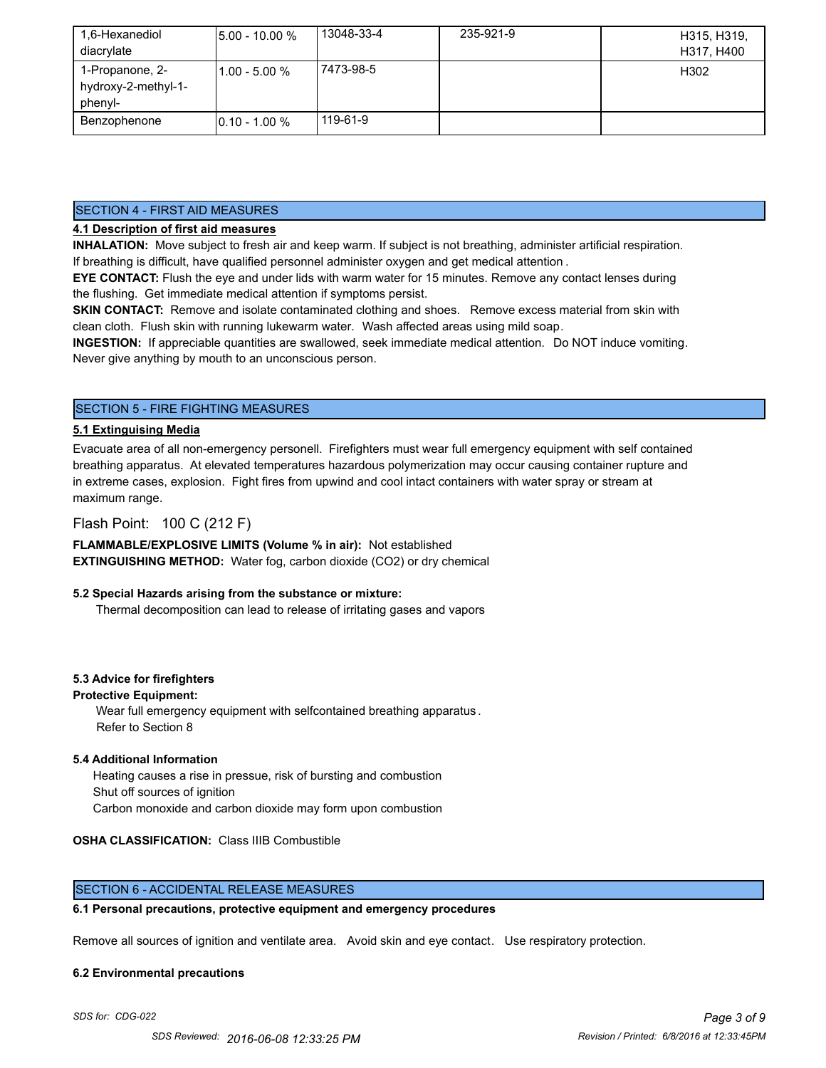| 1,6-Hexanediol<br>diacrylate                      | <b>5.00 - 10.00 %</b> | 13048-33-4 | 235-921-9 | H315, H319,<br>H317, H400 |
|---------------------------------------------------|-----------------------|------------|-----------|---------------------------|
| 1-Propanone, 2-<br>hydroxy-2-methyl-1-<br>phenyl- | l1.00 - 5.00 %        | 7473-98-5  |           | H302                      |
| Benzophenone                                      | $10.10 - 1.00 %$      | 119-61-9   |           |                           |

#### SECTION 4 - FIRST AID MEASURES

# **4.1 Description of first aid measures**

**INHALATION:** Move subject to fresh air and keep warm. If subject is not breathing, administer artificial respiration. If breathing is difficult, have qualified personnel administer oxygen and get medical attention .

**EYE CONTACT:** Flush the eye and under lids with warm water for 15 minutes. Remove any contact lenses during the flushing. Get immediate medical attention if symptoms persist.

**SKIN CONTACT:** Remove and isolate contaminated clothing and shoes. Remove excess material from skin with clean cloth. Flush skin with running lukewarm water. Wash affected areas using mild soap.

**INGESTION:** If appreciable quantities are swallowed, seek immediate medical attention. Do NOT induce vomiting. Never give anything by mouth to an unconscious person.

# SECTION 5 - FIRE FIGHTING MEASURES

#### **5.1 Extinguising Media**

Evacuate area of all non-emergency personell. Firefighters must wear full emergency equipment with self contained breathing apparatus. At elevated temperatures hazardous polymerization may occur causing container rupture and in extreme cases, explosion. Fight fires from upwind and cool intact containers with water spray or stream at maximum range.

# Flash Point: 100 C (212 F)

**FLAMMABLE/EXPLOSIVE LIMITS (Volume % in air):** Not established **EXTINGUISHING METHOD:** Water fog, carbon dioxide (CO2) or dry chemical

#### **5.2 Special Hazards arising from the substance or mixture:**

Thermal decomposition can lead to release of irritating gases and vapors

#### **5.3 Advice for firefighters**

#### **Protective Equipment:**

Wear full emergency equipment with selfcontained breathing apparatus . Refer to Section 8

#### **5.4 Additional Information**

 Heating causes a rise in pressue, risk of bursting and combustion Shut off sources of ignition Carbon monoxide and carbon dioxide may form upon combustion

#### **OSHA CLASSIFICATION:** Class IIIB Combustible

# SECTION 6 - ACCIDENTAL RELEASE MEASURES

#### **6.1 Personal precautions, protective equipment and emergency procedures**

Remove all sources of ignition and ventilate area. Avoid skin and eye contact. Use respiratory protection.

#### **6.2 Environmental precautions**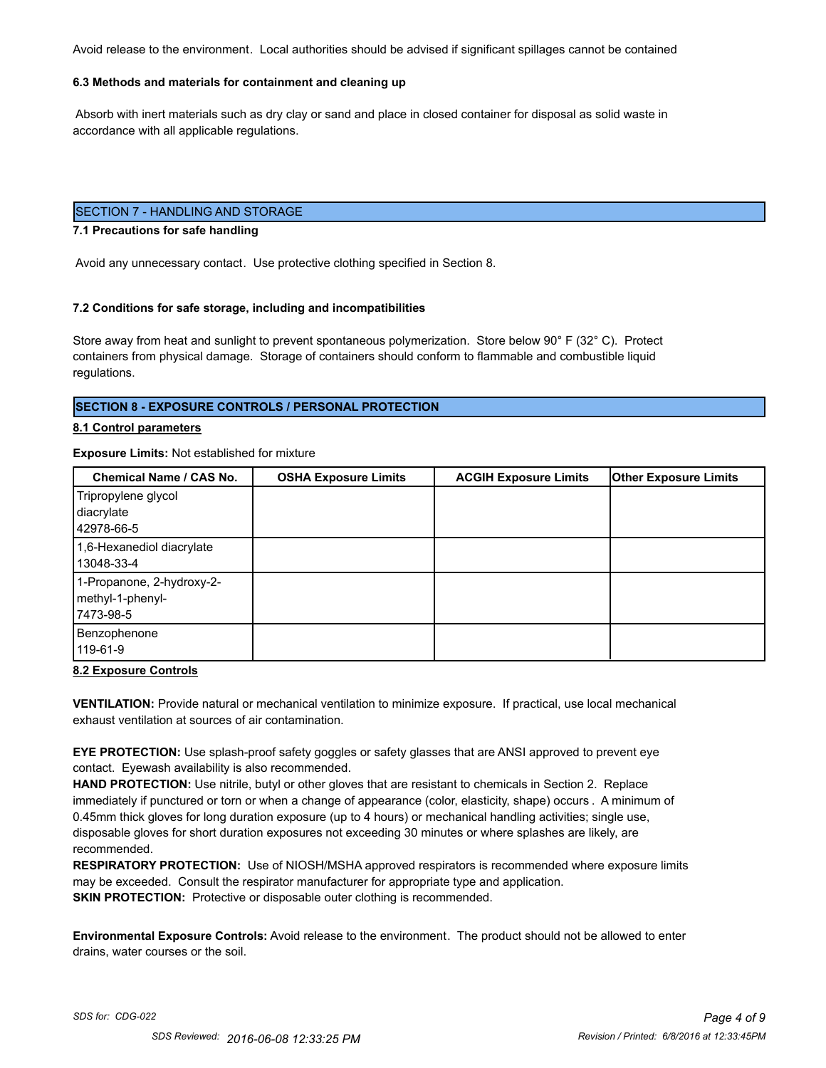Avoid release to the environment. Local authorities should be advised if significant spillages cannot be contained

#### **6.3 Methods and materials for containment and cleaning up**

 Absorb with inert materials such as dry clay or sand and place in closed container for disposal as solid waste in accordance with all applicable regulations.

# SECTION 7 - HANDLING AND STORAGE

#### **7.1 Precautions for safe handling**

Avoid any unnecessary contact. Use protective clothing specified in Section 8.

#### **7.2 Conditions for safe storage, including and incompatibilities**

Store away from heat and sunlight to prevent spontaneous polymerization. Store below 90° F (32° C). Protect containers from physical damage. Storage of containers should conform to flammable and combustible liquid regulations.

#### **SECTION 8 - EXPOSURE CONTROLS / PERSONAL PROTECTION**

#### **8.1 Control parameters**

#### **Exposure Limits:** Not established for mixture

| Chemical Name / CAS No.                                     | <b>OSHA Exposure Limits</b> | <b>ACGIH Exposure Limits</b> | <b>Other Exposure Limits</b> |
|-------------------------------------------------------------|-----------------------------|------------------------------|------------------------------|
| Tripropylene glycol<br>diacrylate<br>42978-66-5             |                             |                              |                              |
| 1,6-Hexanediol diacrylate<br>13048-33-4                     |                             |                              |                              |
| 1-Propanone, 2-hydroxy-2-<br>methyl-1-phenyl-<br>17473-98-5 |                             |                              |                              |
| Benzophenone<br>119-61-9                                    |                             |                              |                              |

#### **8.2 Exposure Controls**

**VENTILATION:** Provide natural or mechanical ventilation to minimize exposure. If practical, use local mechanical exhaust ventilation at sources of air contamination.

**EYE PROTECTION:** Use splash-proof safety goggles or safety glasses that are ANSI approved to prevent eye contact. Eyewash availability is also recommended.

**HAND PROTECTION:** Use nitrile, butyl or other gloves that are resistant to chemicals in Section 2. Replace immediately if punctured or torn or when a change of appearance (color, elasticity, shape) occurs . A minimum of 0.45mm thick gloves for long duration exposure (up to 4 hours) or mechanical handling activities; single use, disposable gloves for short duration exposures not exceeding 30 minutes or where splashes are likely, are recommended.

**RESPIRATORY PROTECTION:** Use of NIOSH/MSHA approved respirators is recommended where exposure limits may be exceeded. Consult the respirator manufacturer for appropriate type and application. **SKIN PROTECTION:** Protective or disposable outer clothing is recommended.

**Environmental Exposure Controls:** Avoid release to the environment. The product should not be allowed to enter drains, water courses or the soil.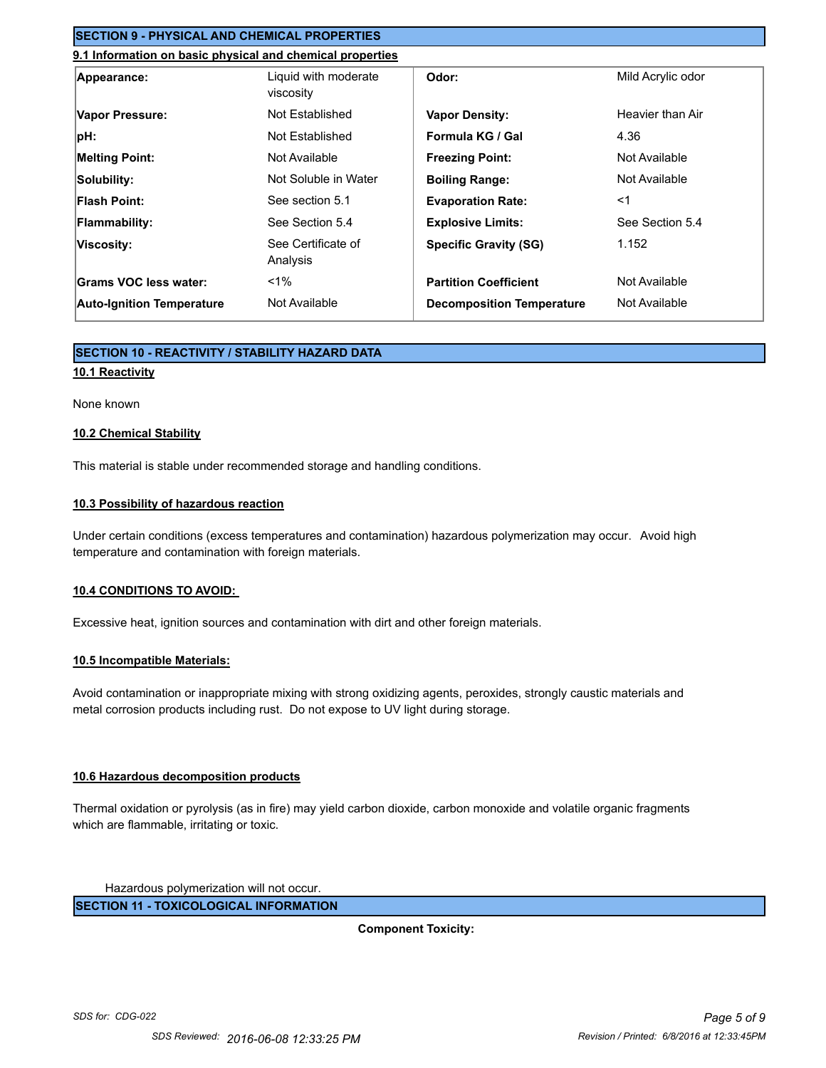# **SECTION 9 - PHYSICAL AND CHEMICAL PROPERTIES**

# **9.1 Information on basic physical and chemical properties**

| Appearance:                      | Liquid with moderate<br>viscosity | Odor:                            | Mild Acrylic odor |
|----------------------------------|-----------------------------------|----------------------------------|-------------------|
| Vapor Pressure:                  | Not Established                   | <b>Vapor Density:</b>            | Heavier than Air  |
| pH:                              | Not Established                   | Formula KG / Gal                 | 4.36              |
| <b>Melting Point:</b>            | Not Available                     | <b>Freezing Point:</b>           | Not Available     |
| Solubility:                      | Not Soluble in Water              | <b>Boiling Range:</b>            | Not Available     |
| Flash Point:                     | See section 5.1                   | <b>Evaporation Rate:</b>         | $<$ 1             |
| <b>Flammability:</b>             | See Section 5.4                   | <b>Explosive Limits:</b>         | See Section 5.4   |
| Viscosity:                       | See Certificate of<br>Analysis    | <b>Specific Gravity (SG)</b>     | 1.152             |
| Grams VOC less water:            | $1\%$                             | <b>Partition Coefficient</b>     | Not Available     |
| <b>Auto-Ignition Temperature</b> | Not Available                     | <b>Decomposition Temperature</b> | Not Available     |

# **SECTION 10 - REACTIVITY / STABILITY HAZARD DATA**

# **10.1 Reactivity**

#### None known

#### **10.2 Chemical Stability**

This material is stable under recommended storage and handling conditions.

# **10.3 Possibility of hazardous reaction**

Under certain conditions (excess temperatures and contamination) hazardous polymerization may occur. Avoid high temperature and contamination with foreign materials.

#### **10.4 CONDITIONS TO AVOID:**

Excessive heat, ignition sources and contamination with dirt and other foreign materials.

#### **10.5 Incompatible Materials:**

Avoid contamination or inappropriate mixing with strong oxidizing agents, peroxides, strongly caustic materials and metal corrosion products including rust. Do not expose to UV light during storage.

#### **10.6 Hazardous decomposition products**

Thermal oxidation or pyrolysis (as in fire) may yield carbon dioxide, carbon monoxide and volatile organic fragments which are flammable, irritating or toxic.

Hazardous polymerization will not occur.

**SECTION 11 - TOXICOLOGICAL INFORMATION**

**Component Toxicity:**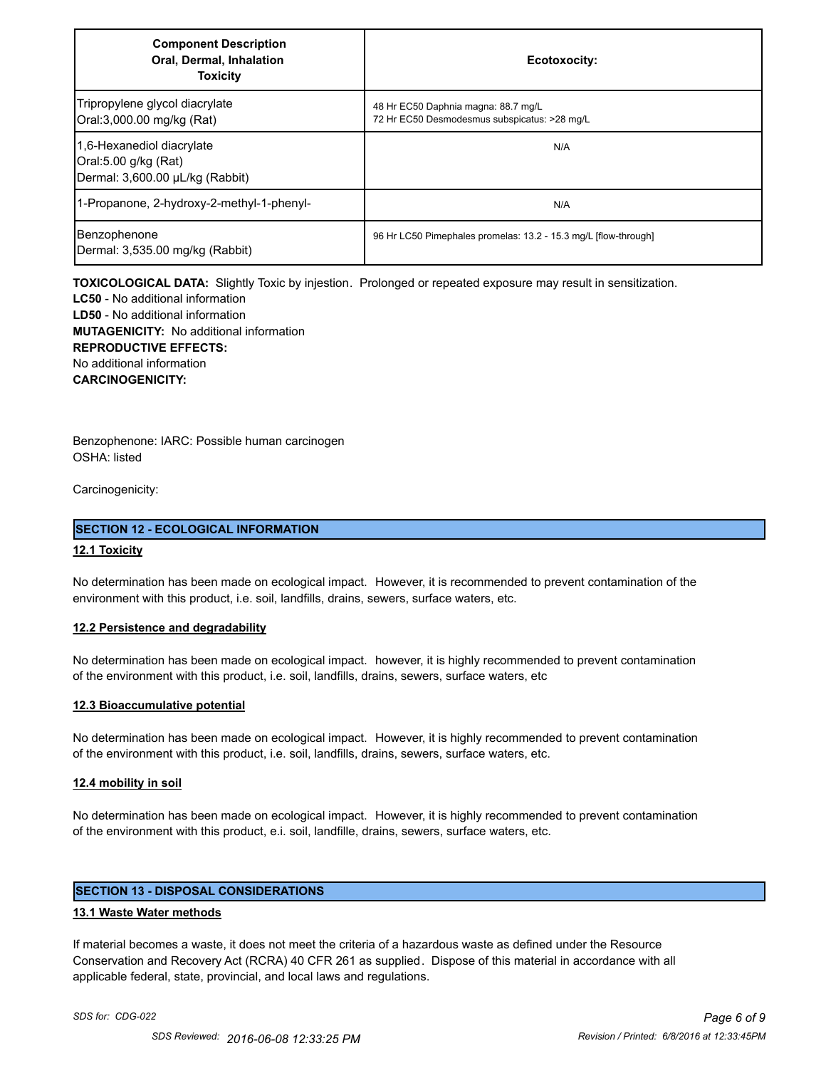| <b>Component Description</b><br><b>Oral, Dermal, Inhalation</b><br><b>Toxicity</b>   | Ecotoxocity:                                                                        |
|--------------------------------------------------------------------------------------|-------------------------------------------------------------------------------------|
| Tripropylene glycol diacrylate<br>Oral:3,000.00 mg/kg (Rat)                          | 48 Hr EC50 Daphnia magna: 88.7 mg/L<br>72 Hr EC50 Desmodesmus subspicatus: >28 mg/L |
| 1,6-Hexanediol diacrylate<br>Oral:5.00 g/kg (Rat)<br>Dermal: 3,600.00 µL/kg (Rabbit) | N/A                                                                                 |
| 1-Propanone, 2-hydroxy-2-methyl-1-phenyl-                                            | N/A                                                                                 |
| Benzophenone<br>Dermal: 3,535.00 mg/kg (Rabbit)                                      | 96 Hr LC50 Pimephales promelas: 13.2 - 15.3 mg/L [flow-through]                     |

**TOXICOLOGICAL DATA:** Slightly Toxic by injestion. Prolonged or repeated exposure may result in sensitization.

**LC50** - No additional information **LD50** - No additional information **MUTAGENICITY:** No additional information **REPRODUCTIVE EFFECTS:** No additional information **CARCINOGENICITY:**

Benzophenone: IARC: Possible human carcinogen OSHA: listed

Carcinogenicity:

### **SECTION 12 - ECOLOGICAL INFORMATION**

### **12.1 Toxicity**

No determination has been made on ecological impact. However, it is recommended to prevent contamination of the environment with this product, i.e. soil, landfills, drains, sewers, surface waters, etc.

#### **12.2 Persistence and degradability**

No determination has been made on ecological impact. however, it is highly recommended to prevent contamination of the environment with this product, i.e. soil, landfills, drains, sewers, surface waters, etc

#### **12.3 Bioaccumulative potential**

No determination has been made on ecological impact. However, it is highly recommended to prevent contamination of the environment with this product, i.e. soil, landfills, drains, sewers, surface waters, etc.

#### **12.4 mobility in soil**

No determination has been made on ecological impact. However, it is highly recommended to prevent contamination of the environment with this product, e.i. soil, landfille, drains, sewers, surface waters, etc.

# **SECTION 13 - DISPOSAL CONSIDERATIONS**

#### **13.1 Waste Water methods**

If material becomes a waste, it does not meet the criteria of a hazardous waste as defined under the Resource Conservation and Recovery Act (RCRA) 40 CFR 261 as supplied. Dispose of this material in accordance with all applicable federal, state, provincial, and local laws and regulations.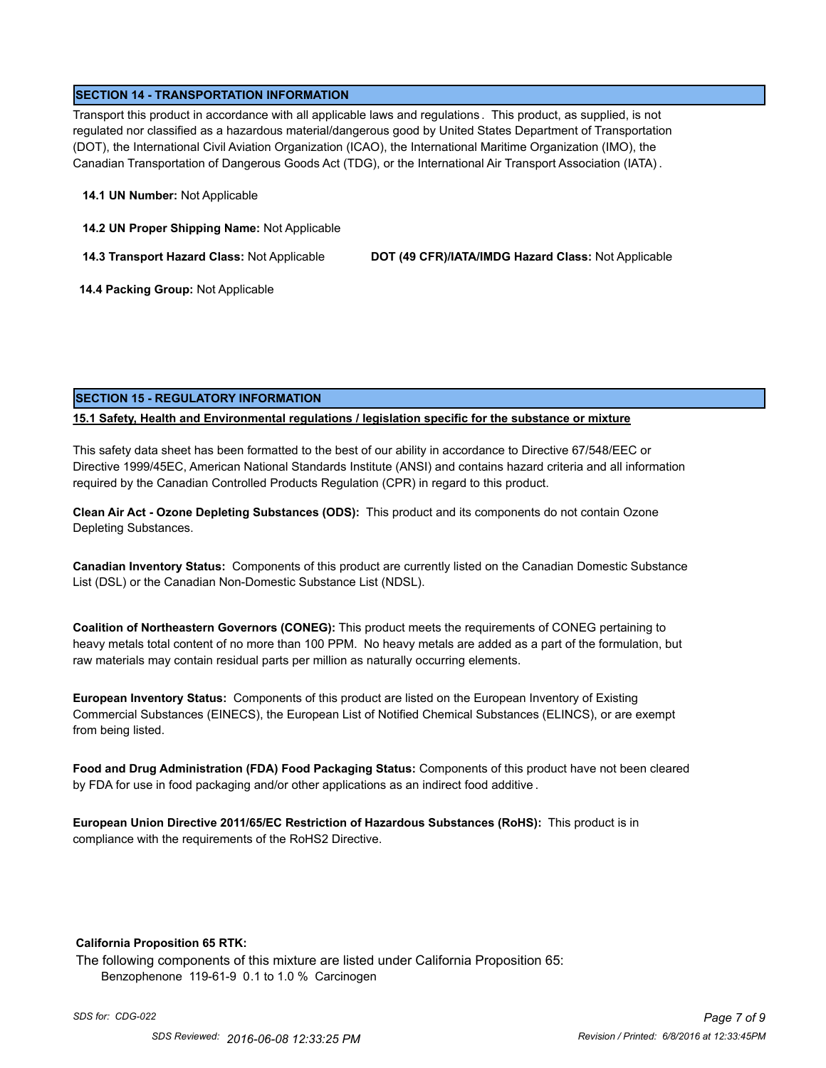# **SECTION 14 - TRANSPORTATION INFORMATION**

Transport this product in accordance with all applicable laws and regulations . This product, as supplied, is not regulated nor classified as a hazardous material/dangerous good by United States Department of Transportation (DOT), the International Civil Aviation Organization (ICAO), the International Maritime Organization (IMO), the Canadian Transportation of Dangerous Goods Act (TDG), or the International Air Transport Association (IATA) .

#### **14.1 UN Number:** Not Applicable

**14.2 UN Proper Shipping Name:** Not Applicable

**14.3 Transport Hazard Class:** Not Applicable **DOT (49 CFR)/IATA/IMDG Hazard Class:** Not Applicable

 **14.4 Packing Group:** Not Applicable

# **SECTION 15 - REGULATORY INFORMATION**

# **15.1 Safety, Health and Environmental regulations / legislation specific for the substance or mixture**

This safety data sheet has been formatted to the best of our ability in accordance to Directive 67/548/EEC or Directive 1999/45EC, American National Standards Institute (ANSI) and contains hazard criteria and all information required by the Canadian Controlled Products Regulation (CPR) in regard to this product.

**Clean Air Act - Ozone Depleting Substances (ODS):** This product and its components do not contain Ozone Depleting Substances.

**Canadian Inventory Status:** Components of this product are currently listed on the Canadian Domestic Substance List (DSL) or the Canadian Non-Domestic Substance List (NDSL).

**Coalition of Northeastern Governors (CONEG):** This product meets the requirements of CONEG pertaining to heavy metals total content of no more than 100 PPM. No heavy metals are added as a part of the formulation, but raw materials may contain residual parts per million as naturally occurring elements.

**European Inventory Status:** Components of this product are listed on the European Inventory of Existing Commercial Substances (EINECS), the European List of Notified Chemical Substances (ELINCS), or are exempt from being listed.

**Food and Drug Administration (FDA) Food Packaging Status:** Components of this product have not been cleared by FDA for use in food packaging and/or other applications as an indirect food additive .

**European Union Directive 2011/65/EC Restriction of Hazardous Substances (RoHS):** This product is in compliance with the requirements of the RoHS2 Directive.

#### **California Proposition 65 RTK:**

The following components of this mixture are listed under California Proposition 65: Benzophenone 119-61-9 0.1 to 1.0 % Carcinogen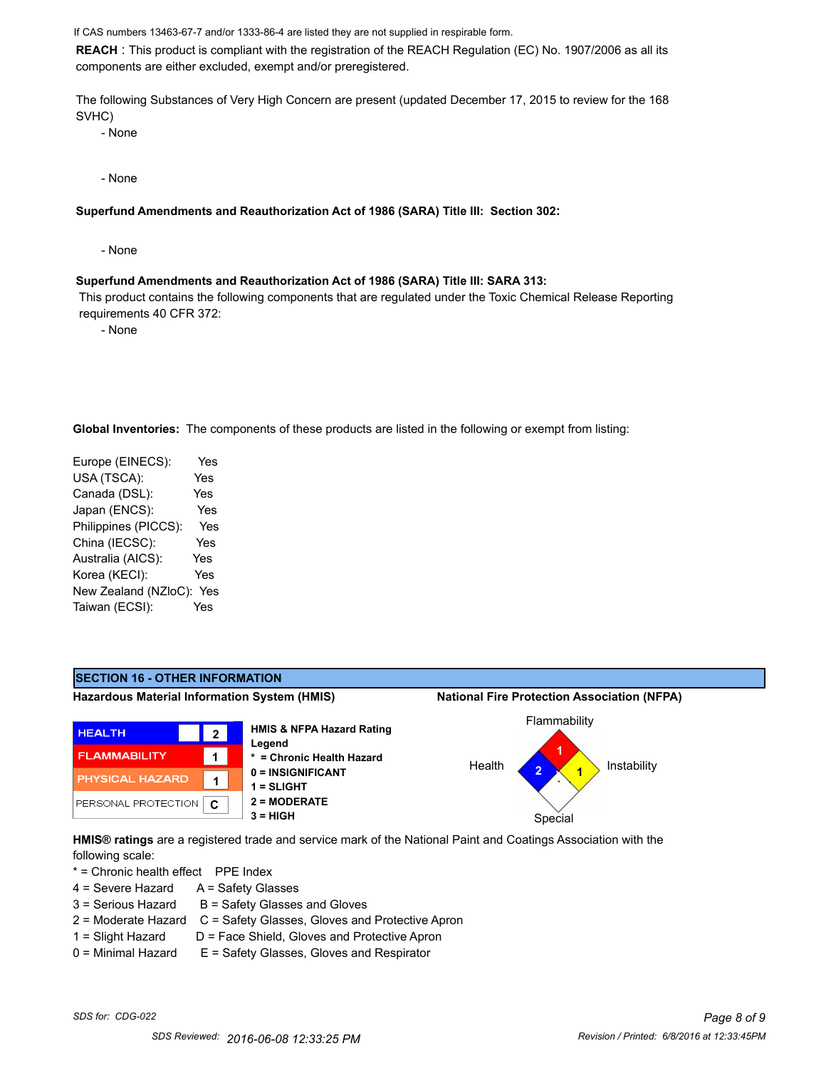If CAS numbers 13463-67-7 and/or 1333-86-4 are listed they are not supplied in respirable form.

**REACH** : This product is compliant with the registration of the REACH Regulation (EC) No. 1907/2006 as all its components are either excluded, exempt and/or preregistered.

The following Substances of Very High Concern are present (updated December 17, 2015 to review for the 168 SVHC)

- None

- None

**Superfund Amendments and Reauthorization Act of 1986 (SARA) Title III: Section 302:**

- None

#### **Superfund Amendments and Reauthorization Act of 1986 (SARA) Title III: SARA 313:**

 This product contains the following components that are regulated under the Toxic Chemical Release Reporting requirements 40 CFR 372:

- None

**Global Inventories:** The components of these products are listed in the following or exempt from listing:

Europe (EINECS): Yes USA (TSCA): Yes Canada (DSL): Yes Japan (ENCS): Yes Philippines (PICCS): Yes China (IECSC): Yes Australia (AICS): Yes Korea (KECI): Yes New Zealand (NZloC): Yes Taiwan (ECSI): Yes



**HMIS® ratings** are a registered trade and service mark of the National Paint and Coatings Association with the following scale:

\* = Chronic health effect PPE Index

- $4 =$  Severe Hazard  $A =$  Safety Glasses
- $3 =$  Serious Hazard  $B =$  Safety Glasses and Gloves
- 2 = Moderate Hazard C = Safety Glasses, Gloves and Protective Apron
- 
- 1 = Slight Hazard D = Face Shield, Gloves and Protective Apron  $0 =$  Minimal Hazard  $E =$  Safety Glasses, Gloves and Respirator
-